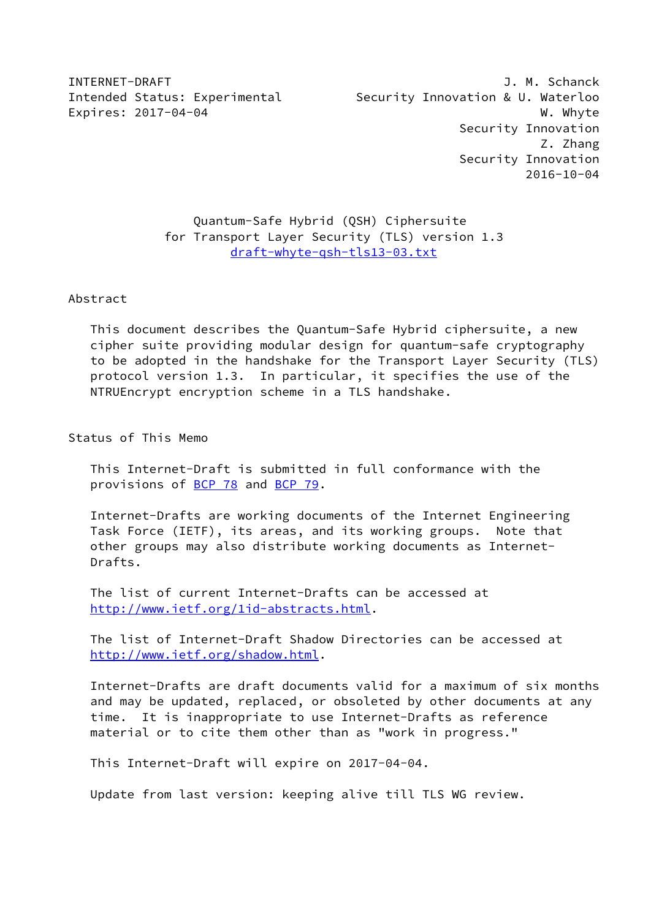INTERNET-DRAFT J. M. Schanck Intended Status: Experimental Security Innovation & U. Waterloo Expires: 2017-04-04 W. Whyte Security Innovation Z. Zhang Security Innovation 2016-10-04

# Quantum-Safe Hybrid (QSH) Ciphersuite for Transport Layer Security (TLS) version 1.3 [draft-whyte-qsh-tls13-03.txt](https://datatracker.ietf.org/doc/pdf/draft-whyte-qsh-tls13-03.txt)

Abstract

 This document describes the Quantum-Safe Hybrid ciphersuite, a new cipher suite providing modular design for quantum-safe cryptography to be adopted in the handshake for the Transport Layer Security (TLS) protocol version 1.3. In particular, it specifies the use of the NTRUEncrypt encryption scheme in a TLS handshake.

Status of This Memo

 This Internet-Draft is submitted in full conformance with the provisions of [BCP 78](https://datatracker.ietf.org/doc/pdf/bcp78) and [BCP 79](https://datatracker.ietf.org/doc/pdf/bcp79).

 Internet-Drafts are working documents of the Internet Engineering Task Force (IETF), its areas, and its working groups. Note that other groups may also distribute working documents as Internet- Drafts.

 The list of current Internet-Drafts can be accessed at <http://www.ietf.org/1id-abstracts.html>.

 The list of Internet-Draft Shadow Directories can be accessed at <http://www.ietf.org/shadow.html>.

 Internet-Drafts are draft documents valid for a maximum of six months and may be updated, replaced, or obsoleted by other documents at any time. It is inappropriate to use Internet-Drafts as reference material or to cite them other than as "work in progress."

This Internet-Draft will expire on 2017-04-04.

Update from last version: keeping alive till TLS WG review.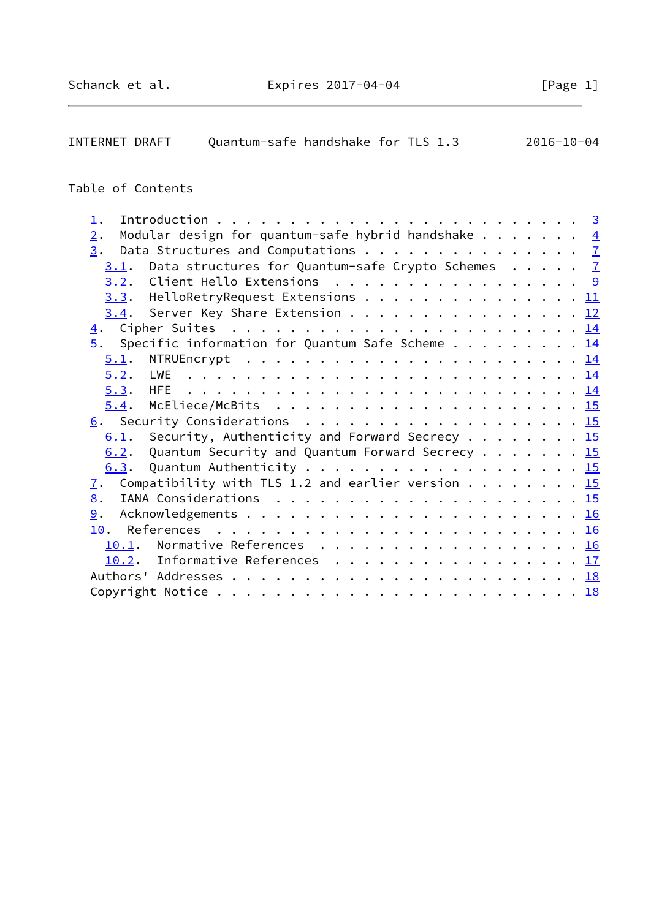| INTERNET DRAFT | Quantum-safe handshake for TLS 1.3 |  | 2016-10-04 |
|----------------|------------------------------------|--|------------|
|                |                                    |  |            |

# Table of Contents

| $1$ . |                                                                          |  |  |  |  |
|-------|--------------------------------------------------------------------------|--|--|--|--|
| 2.    | Modular design for quantum-safe hybrid handshake $\frac{4}{5}$           |  |  |  |  |
|       | 3. Data Structures and Computations 7                                    |  |  |  |  |
| 3.1.  | Data structures for Quantum-safe Crypto Schemes 7                        |  |  |  |  |
|       | 3.2. Client Hello Extensions 9                                           |  |  |  |  |
|       | <u>3.3</u> . HelloRetryRequest Extensions 11                             |  |  |  |  |
|       | 3.4. Server Key Share Extension 12                                       |  |  |  |  |
|       |                                                                          |  |  |  |  |
|       | $\frac{5}{2}$ . Specific information for Quantum Safe Scheme 14          |  |  |  |  |
| 5.1.  |                                                                          |  |  |  |  |
|       |                                                                          |  |  |  |  |
|       |                                                                          |  |  |  |  |
|       |                                                                          |  |  |  |  |
|       | 6. Security Considerations 15                                            |  |  |  |  |
|       | 6.1. Security, Authenticity and Forward Secrecy 15                       |  |  |  |  |
| 6.2.  | Quantum Security and Quantum Forward Secrecy 15                          |  |  |  |  |
|       |                                                                          |  |  |  |  |
| 7.    | Compatibility with TLS 1.2 and earlier version $\ldots \ldots \ldots$ 15 |  |  |  |  |
| 8.    |                                                                          |  |  |  |  |
| 9.    |                                                                          |  |  |  |  |
|       |                                                                          |  |  |  |  |
|       | 10.1. Normative References 16                                            |  |  |  |  |
|       | 10.2. Informative References 17                                          |  |  |  |  |
|       |                                                                          |  |  |  |  |
|       |                                                                          |  |  |  |  |
|       |                                                                          |  |  |  |  |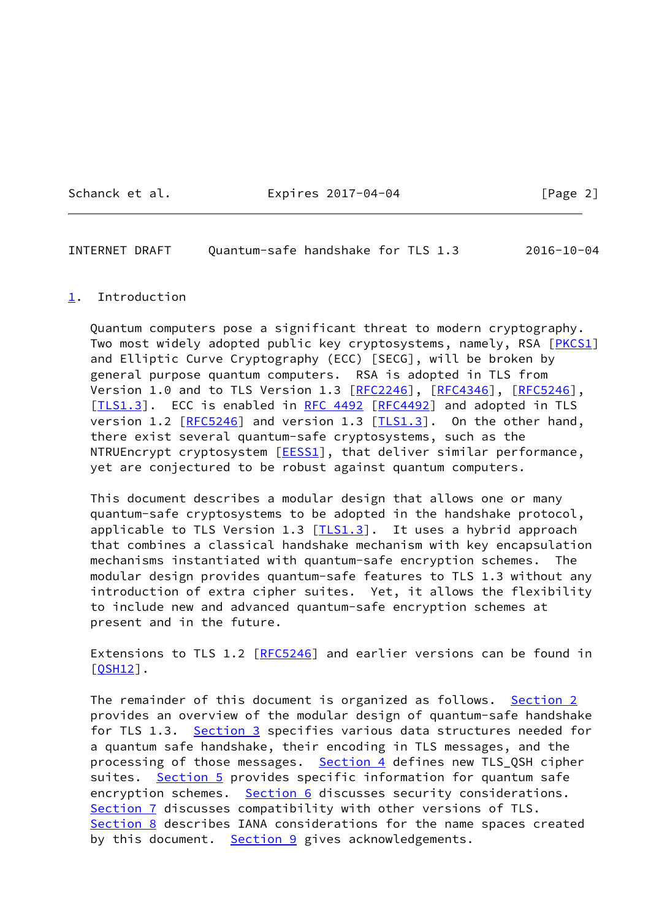Schanck et al. Expires 2017-04-04 [Page 2]

<span id="page-2-1"></span>INTERNET DRAFT Quantum-safe handshake for TLS 1.3 2016-10-04

#### <span id="page-2-0"></span>[1](#page-2-0). Introduction

 Quantum computers pose a significant threat to modern cryptography. Two most widely adopted public key cryptosystems, namely, RSA [[PKCS1\]](#page-17-4) and Elliptic Curve Cryptography (ECC) [SECG], will be broken by general purpose quantum computers. RSA is adopted in TLS from Version 1.0 and to TLS Version 1.3 [[RFC2246\]](https://datatracker.ietf.org/doc/pdf/rfc2246), [[RFC4346](https://datatracker.ietf.org/doc/pdf/rfc4346)], [\[RFC5246](https://datatracker.ietf.org/doc/pdf/rfc5246)], [\[TLS1.3](#page-19-2)]. ECC is enabled in [RFC 4492](https://datatracker.ietf.org/doc/pdf/rfc4492) [[RFC4492](https://datatracker.ietf.org/doc/pdf/rfc4492)] and adopted in TLS version 1.2 [\[RFC5246](https://datatracker.ietf.org/doc/pdf/rfc5246)] and version 1.3 [[TLS1.3](#page-19-2)]. On the other hand, there exist several quantum-safe cryptosystems, such as the NTRUEncrypt cryptosystem [\[EESS1\]](#page-17-5), that deliver similar performance, yet are conjectured to be robust against quantum computers.

 This document describes a modular design that allows one or many quantum-safe cryptosystems to be adopted in the handshake protocol, applicable to TLS Version 1.3  $[TLS1.3]$  $[TLS1.3]$  $[TLS1.3]$ . It uses a hybrid approach that combines a classical handshake mechanism with key encapsulation mechanisms instantiated with quantum-safe encryption schemes. The modular design provides quantum-safe features to TLS 1.3 without any introduction of extra cipher suites. Yet, it allows the flexibility to include new and advanced quantum-safe encryption schemes at present and in the future.

Extensions to TLS 1.2 [[RFC5246](https://datatracker.ietf.org/doc/pdf/rfc5246)] and earlier versions can be found in [\[QSH12](#page-18-1)].

The remainder of this document is organized as follows. [Section 2](#page-3-0) provides an overview of the modular design of quantum-safe handshake for TLS 1.3. [Section 3](#page-7-0) specifies various data structures needed for a quantum safe handshake, their encoding in TLS messages, and the processing of those messages. [Section 4](#page-15-0) defines new TLS\_QSH cipher suites. [Section 5](#page-15-1) provides specific information for quantum safe encryption schemes. [Section 6](#page-15-7) discusses security considerations. [Section 7](#page-16-3) discusses compatibility with other versions of TLS. [Section 8](#page-16-4) describes IANA considerations for the name spaces created by this document. [Section 9](#page-17-0) gives acknowledgements.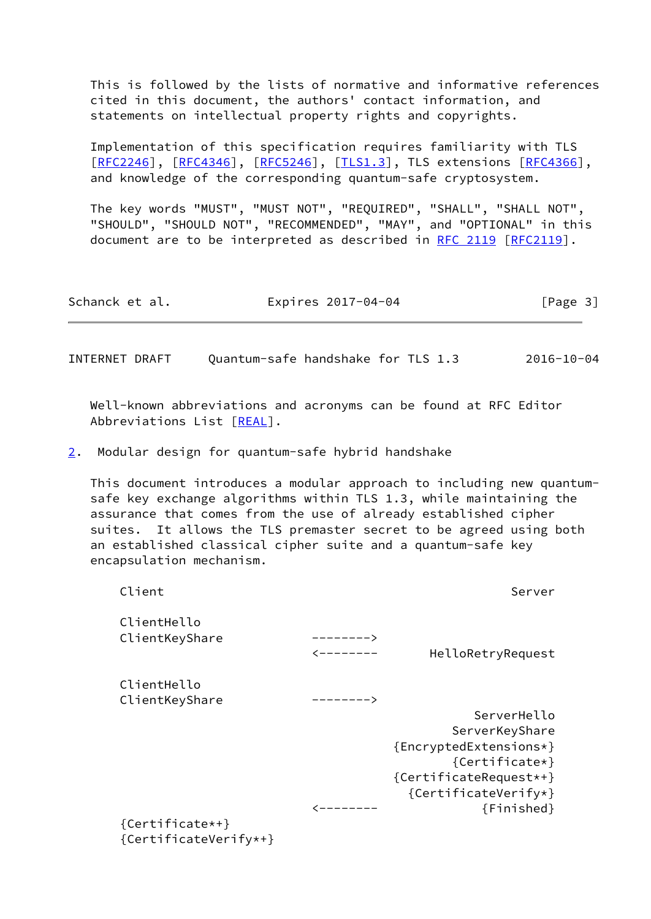This is followed by the lists of normative and informative references cited in this document, the authors' contact information, and statements on intellectual property rights and copyrights.

 Implementation of this specification requires familiarity with TLS [\[RFC2246](https://datatracker.ietf.org/doc/pdf/rfc2246)], [[RFC4346\]](https://datatracker.ietf.org/doc/pdf/rfc4346), [[RFC5246](https://datatracker.ietf.org/doc/pdf/rfc5246)], [\[TLS1.3](#page-19-2)], TLS extensions [[RFC4366](https://datatracker.ietf.org/doc/pdf/rfc4366)], and knowledge of the corresponding quantum-safe cryptosystem.

 The key words "MUST", "MUST NOT", "REQUIRED", "SHALL", "SHALL NOT", "SHOULD", "SHOULD NOT", "RECOMMENDED", "MAY", and "OPTIONAL" in this document are to be interpreted as described in [RFC 2119 \[RFC2119](https://datatracker.ietf.org/doc/pdf/rfc2119)].

| Schanck et al.<br>Expires 2017-04-04 | [Page 3] |
|--------------------------------------|----------|
|--------------------------------------|----------|

<span id="page-3-1"></span>INTERNET DRAFT Quantum-safe handshake for TLS 1.3 2016-10-04

 Well-known abbreviations and acronyms can be found at RFC Editor Abbreviations List [[REAL\]](#page-18-2).

<span id="page-3-0"></span>[2](#page-3-0). Modular design for quantum-safe hybrid handshake

 This document introduces a modular approach to including new quantum safe key exchange algorithms within TLS 1.3, while maintaining the assurance that comes from the use of already established cipher suites. It allows the TLS premaster secret to be agreed using both an established classical cipher suite and a quantum-safe key encapsulation mechanism.

| Client                        |           | Server                        |
|-------------------------------|-----------|-------------------------------|
| ClientHello<br>ClientKeyShare | ————————> | HelloRetryRequest             |
| ClientHello<br>ClientKeyShare | --------> |                               |
|                               |           | ServerHello<br>ServerKeyShare |
|                               |           | {EncryptedExtensions*}        |
|                               |           | {Certificate*}                |
|                               |           | {CertificateRequest*+}        |
|                               |           | {CertificateVerify*}          |
|                               |           | {Finished}                    |
| {Certificate*+}               |           |                               |
| {CertificateVerify*+}         |           |                               |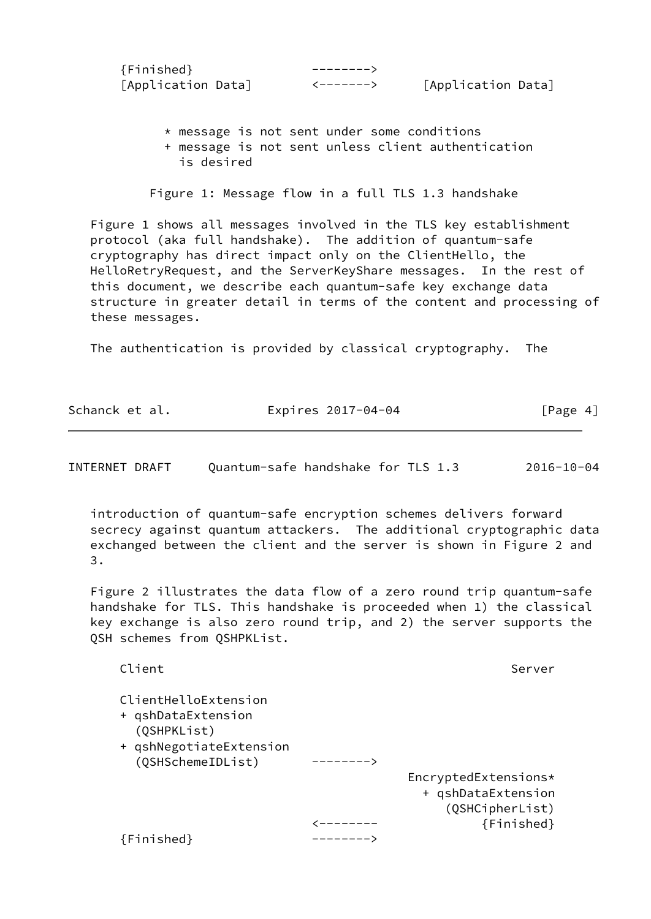| $\{Finite\}$       |                    |
|--------------------|--------------------|
| [Application Data] | [Application Data] |

 \* message is not sent under some conditions + message is not sent unless client authentication is desired

Figure 1: Message flow in a full TLS 1.3 handshake

 Figure 1 shows all messages involved in the TLS key establishment protocol (aka full handshake). The addition of quantum-safe cryptography has direct impact only on the ClientHello, the HelloRetryRequest, and the ServerKeyShare messages. In the rest of this document, we describe each quantum-safe key exchange data structure in greater detail in terms of the content and processing of these messages.

The authentication is provided by classical cryptography. The

| Schanck et al. | Expires 2017-04-04 | [Page 4] |
|----------------|--------------------|----------|
|----------------|--------------------|----------|

INTERNET DRAFT Quantum-safe handshake for TLS 1.3 2016-10-04

 introduction of quantum-safe encryption schemes delivers forward secrecy against quantum attackers. The additional cryptographic data exchanged between the client and the server is shown in Figure 2 and 3.

 Figure 2 illustrates the data flow of a zero round trip quantum-safe handshake for TLS. This handshake is proceeded when 1) the classical key exchange is also zero round trip, and 2) the server supports the QSH schemes from QSHPKList.

| Client                                                                                                    |   | Server                                                                      |
|-----------------------------------------------------------------------------------------------------------|---|-----------------------------------------------------------------------------|
| ClientHelloExtension<br>+ qshDataExtension<br>(QSHPKList)<br>+ qshNegotiateExtension<br>(QSHSchemeIDList) | . |                                                                             |
|                                                                                                           |   | EncryptedExtensions*<br>+ qshDataExtension<br>(QSHCipherList)<br>{Finished} |
| $\{Finite\}$                                                                                              |   |                                                                             |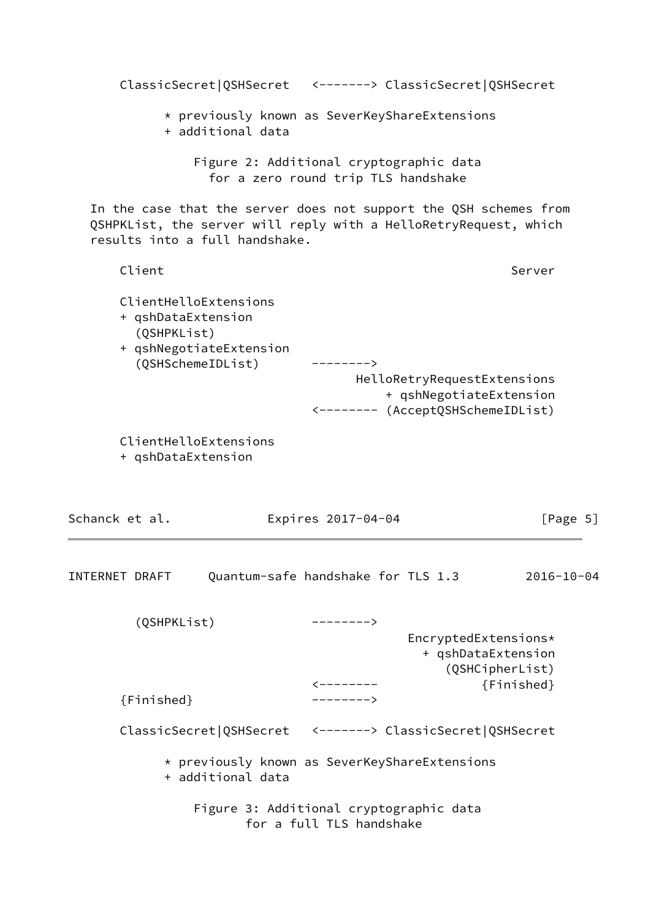| ClassicSecret QSHSecret <-------> ClassicSecret QSHSecret                                                                                                               |                                                                                |                                                                                             |                  |
|-------------------------------------------------------------------------------------------------------------------------------------------------------------------------|--------------------------------------------------------------------------------|---------------------------------------------------------------------------------------------|------------------|
| * previously known as SeverKeyShareExtensions<br>+ additional data                                                                                                      |                                                                                |                                                                                             |                  |
|                                                                                                                                                                         | Figure 2: Additional cryptographic data<br>for a zero round trip TLS handshake |                                                                                             |                  |
| In the case that the server does not support the QSH schemes from<br>QSHPKList, the server will reply with a HelloRetryRequest, which<br>results into a full handshake. |                                                                                |                                                                                             |                  |
| Client                                                                                                                                                                  |                                                                                |                                                                                             | Server           |
| ClientHelloExtensions<br>+ qshDataExtension<br>(QSHPKList)<br>+ qshNegotiateExtension<br>(QSHSchemeIDList)                                                              | $--------$                                                                     | HelloRetryRequestExtensions<br>+ qshNegotiateExtension<br><-------- (AcceptQSHSchemeIDList) |                  |
| ClientHelloExtensions<br>+ qshDataExtension                                                                                                                             |                                                                                |                                                                                             |                  |
| Schanck et al.                                                                                                                                                          | Expires 2017-04-04                                                             |                                                                                             | [Page $5$ ]      |
| INTERNET DRAFT                                                                                                                                                          | Quantum-safe handshake for TLS 1.3                                             |                                                                                             | $2016 - 10 - 04$ |
| (QSHPKList)                                                                                                                                                             | --------><br>$\leftarrow$ - - - - - - -                                        | EncryptedExtensions*<br>+ qshDataExtension<br>(QSHCipherList)                               | {Finished}       |
| ${F}$ inished $}$                                                                                                                                                       | -------->                                                                      |                                                                                             |                  |
| ClassicSecret QSHSecret <-------> ClassicSecret QSHSecret                                                                                                               |                                                                                |                                                                                             |                  |
| * previously known as SeverKeyShareExtensions<br>+ additional data                                                                                                      |                                                                                |                                                                                             |                  |
|                                                                                                                                                                         | Figure 3: Additional cryptographic data<br>for a full TLS handshake            |                                                                                             |                  |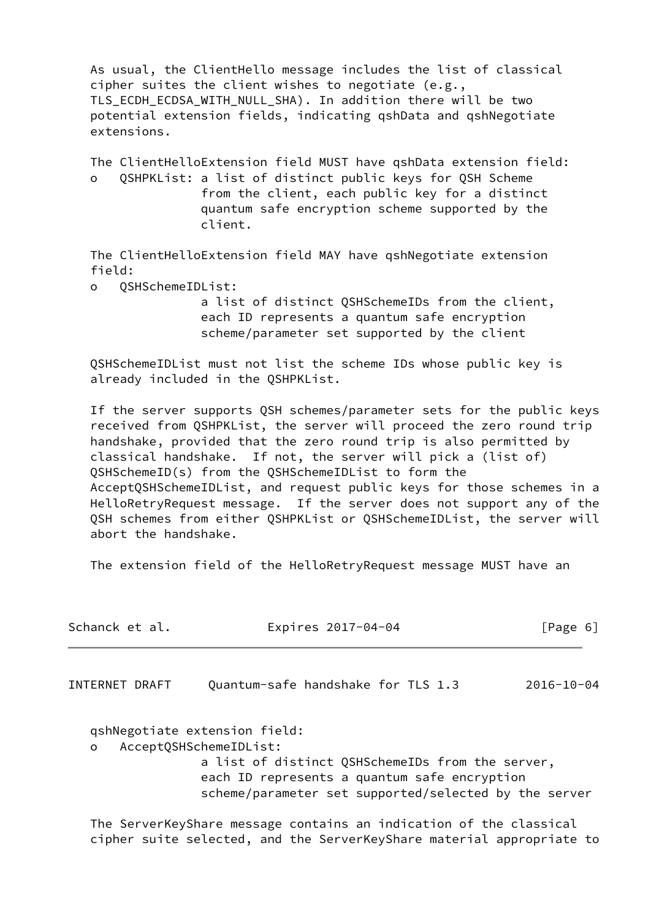As usual, the ClientHello message includes the list of classical cipher suites the client wishes to negotiate (e.g., TLS\_ECDH\_ECDSA\_WITH\_NULL\_SHA). In addition there will be two potential extension fields, indicating qshData and qshNegotiate extensions.

 The ClientHelloExtension field MUST have qshData extension field: o QSHPKList: a list of distinct public keys for QSH Scheme from the client, each public key for a distinct quantum safe encryption scheme supported by the client.

 The ClientHelloExtension field MAY have qshNegotiate extension field:

o QSHSchemeIDList:

 a list of distinct QSHSchemeIDs from the client, each ID represents a quantum safe encryption scheme/parameter set supported by the client

 QSHSchemeIDList must not list the scheme IDs whose public key is already included in the QSHPKList.

 If the server supports QSH schemes/parameter sets for the public keys received from QSHPKList, the server will proceed the zero round trip handshake, provided that the zero round trip is also permitted by classical handshake. If not, the server will pick a (list of) QSHSchemeID(s) from the QSHSchemeIDList to form the AcceptQSHSchemeIDList, and request public keys for those schemes in a HelloRetryRequest message. If the server does not support any of the QSH schemes from either QSHPKList or QSHSchemeIDList, the server will abort the handshake.

The extension field of the HelloRetryRequest message MUST have an

<span id="page-6-0"></span>

| Schanck et al. | Expires 2017-04-04                                                                                                                                                                                                   | [Page 6]         |
|----------------|----------------------------------------------------------------------------------------------------------------------------------------------------------------------------------------------------------------------|------------------|
| INTERNET DRAFT | Quantum-safe handshake for TLS 1.3                                                                                                                                                                                   | $2016 - 10 - 04$ |
| $\circ$        | qshNegotiate extension field:<br>AcceptQSHSchemeIDList:<br>a list of distinct QSHSchemeIDs from the server,<br>each ID represents a quantum safe encryption<br>scheme/parameter set supported/selected by the server |                  |
|                | The ServerKeyShare message contains an indication of the classical<br>cipher suite selected, and the ServerKeyShare material appropriate to                                                                          |                  |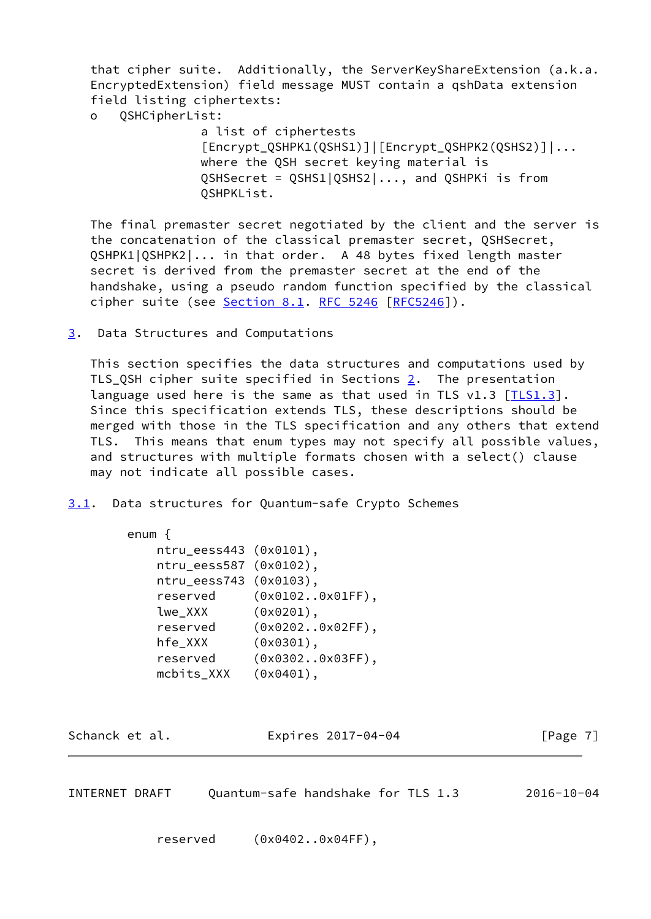that cipher suite. Additionally, the ServerKeyShareExtension (a.k.a. EncryptedExtension) field message MUST contain a qshData extension field listing ciphertexts:

o QSHCipherList:

 a list of ciphertests [Encrypt\_QSHPK1(QSHS1)]|[Encrypt\_QSHPK2(QSHS2)]|... where the QSH secret keying material is QSHSecret = QSHS1|QSHS2|..., and QSHPKi is from QSHPKList.

 The final premaster secret negotiated by the client and the server is the concatenation of the classical premaster secret, QSHSecret, QSHPK1|QSHPK2|... in that order. A 48 bytes fixed length master secret is derived from the premaster secret at the end of the handshake, using a pseudo random function specified by the classical cipher suite (see Section 8.1. [RFC 5246 \[RFC5246](https://datatracker.ietf.org/doc/pdf/rfc5246)]).

<span id="page-7-0"></span>[3](#page-7-0). Data Structures and Computations

 This section specifies the data structures and computations used by TLS\_QSH cipher suite specified in Sections  $2$ . The presentation language used here is the same as that used in TLS  $v1.3$   $[TLS1.3]$  $[TLS1.3]$ . Since this specification extends TLS, these descriptions should be merged with those in the TLS specification and any others that extend TLS. This means that enum types may not specify all possible values, and structures with multiple formats chosen with a select() clause may not indicate all possible cases.

<span id="page-7-1"></span>[3.1](#page-7-1). Data structures for Quantum-safe Crypto Schemes

| enum                   |                    |
|------------------------|--------------------|
| ntru_eess443 (0x0101), |                    |
| ntru_eess587 (0x0102), |                    |
| ntru_eess743 (0x0103), |                    |
| reserved               | $(0x01020x01FF)$ , |
| lwe_XXX                | (0x0201),          |
| reserved               | $(0x02020x02FF)$ , |
| hfe_XXX                | (0x0301),          |
| reserved               | $(0x03020x03FF)$ , |
| mcbits_XXX             | (0x0401),          |

Schanck et al. **Expires 2017-04-04** [Page 7]

INTERNET DRAFT Quantum-safe handshake for TLS 1.3 2016-10-04

reserved (0x0402..0x04FF),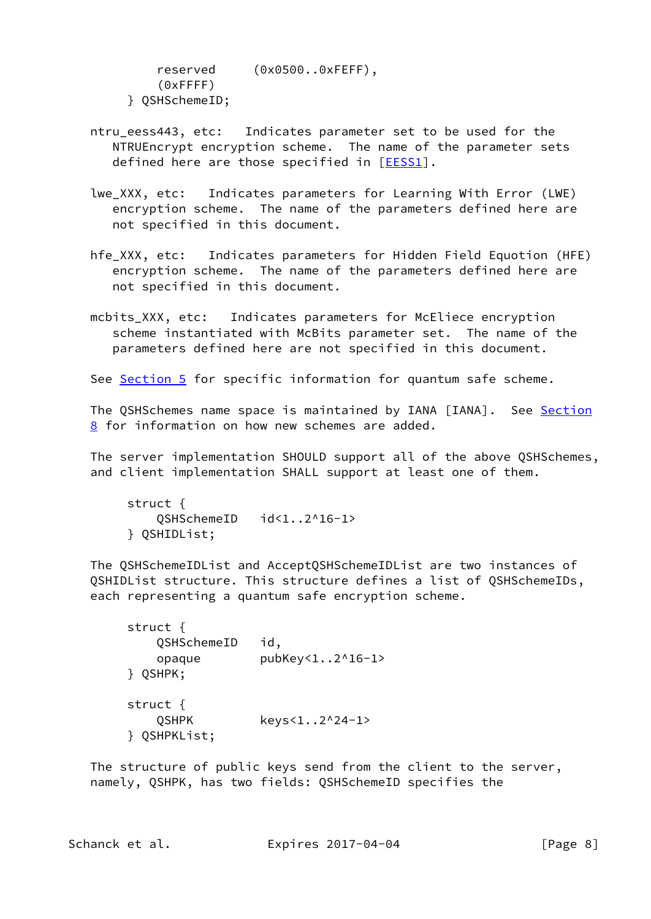reserved (0x0500..0xFEFF), (0xFFFF) } QSHSchemeID;

- ntru eess443, etc: Indicates parameter set to be used for the NTRUEncrypt encryption scheme. The name of the parameter sets defined here are those specified in [\[EESS1](#page-17-5)].
- lwe\_XXX, etc: Indicates parameters for Learning With Error (LWE) encryption scheme. The name of the parameters defined here are not specified in this document.
- hfe\_XXX, etc: Indicates parameters for Hidden Field Equotion (HFE) encryption scheme. The name of the parameters defined here are not specified in this document.
- mcbits XXX, etc: Indicates parameters for McEliece encryption scheme instantiated with McBits parameter set. The name of the parameters defined here are not specified in this document.

See [Section 5](#page-15-1) for specific information for quantum safe scheme.

The QSHSchemes name space is maintained by IANA [IANA]. See [Section](#page-16-4) [8](#page-16-4) for information on how new schemes are added.

 The server implementation SHOULD support all of the above QSHSchemes, and client implementation SHALL support at least one of them.

 struct { QSHSchemeID id<1..2^16-1> } QSHIDList;

 The QSHSchemeIDList and AcceptQSHSchemeIDList are two instances of QSHIDList structure. This structure defines a list of QSHSchemeIDs, each representing a quantum safe encryption scheme.

```
 struct {
   QSHSchemeID id,
   opaque pubKey<1..2^16-1>
} QSHPK;
struct {
   QSHPK keys<1..2^24-1>
} QSHPKList;
```
 The structure of public keys send from the client to the server, namely, QSHPK, has two fields: QSHSchemeID specifies the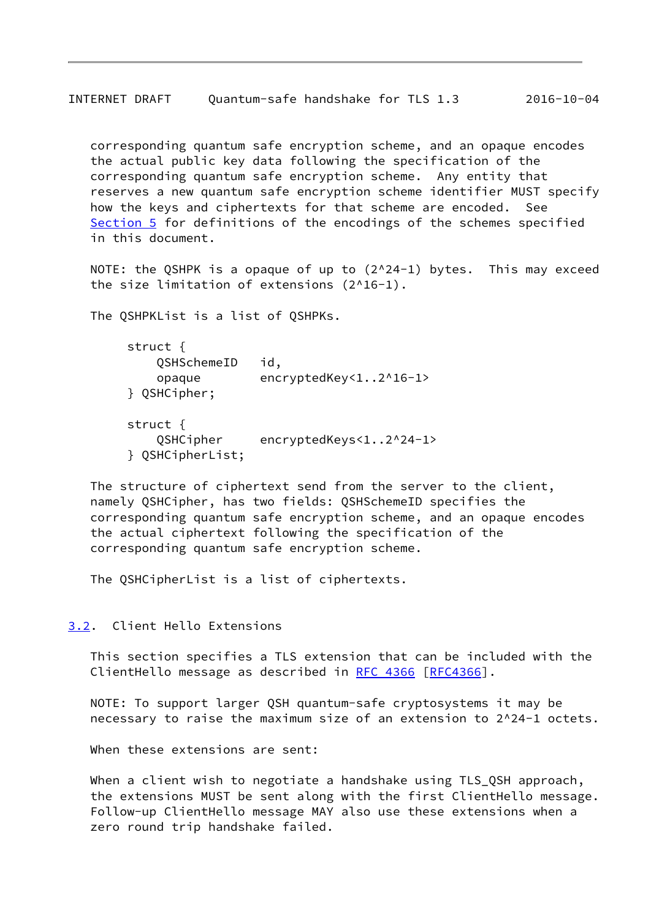<span id="page-9-1"></span> corresponding quantum safe encryption scheme, and an opaque encodes the actual public key data following the specification of the corresponding quantum safe encryption scheme. Any entity that reserves a new quantum safe encryption scheme identifier MUST specify how the keys and ciphertexts for that scheme are encoded. See [Section 5](#page-15-1) for definitions of the encodings of the schemes specified in this document.

NOTE: the QSHPK is a opaque of up to (2^24-1) bytes. This may exceed the size limitation of extensions (2^16-1).

The QSHPKList is a list of QSHPKs.

```
 struct {
   QSHSchemeID id,
   opaque encryptedKey<1..2^16-1>
} QSHCipher;
struct {
   QSHCipher encryptedKeys<1..2^24-1>
} QSHCipherList;
```
 The structure of ciphertext send from the server to the client, namely QSHCipher, has two fields: QSHSchemeID specifies the corresponding quantum safe encryption scheme, and an opaque encodes the actual ciphertext following the specification of the corresponding quantum safe encryption scheme.

The QSHCipherList is a list of ciphertexts.

#### <span id="page-9-0"></span>[3.2](#page-9-0). Client Hello Extensions

 This section specifies a TLS extension that can be included with the ClientHello message as described in [RFC 4366 \[RFC4366](https://datatracker.ietf.org/doc/pdf/rfc4366)].

 NOTE: To support larger QSH quantum-safe cryptosystems it may be necessary to raise the maximum size of an extension to 2^24-1 octets.

When these extensions are sent:

 When a client wish to negotiate a handshake using TLS\_QSH approach, the extensions MUST be sent along with the first ClientHello message. Follow-up ClientHello message MAY also use these extensions when a zero round trip handshake failed.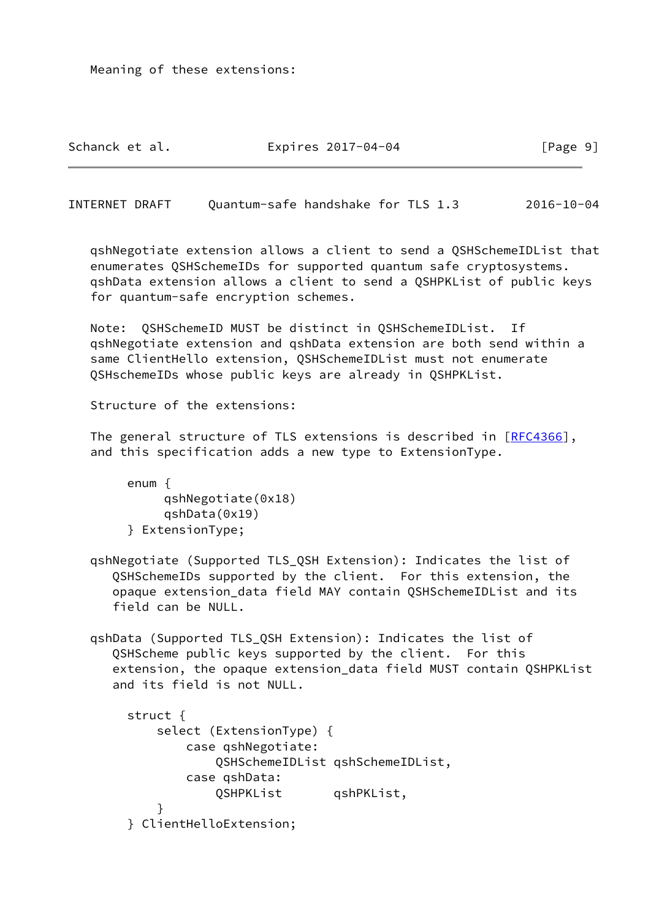Meaning of these extensions:

Schanck et al. Expires 2017-04-04 Frage 9]

INTERNET DRAFT Quantum-safe handshake for TLS 1.3 2016-10-04

 qshNegotiate extension allows a client to send a QSHSchemeIDList that enumerates QSHSchemeIDs for supported quantum safe cryptosystems. qshData extension allows a client to send a QSHPKList of public keys for quantum-safe encryption schemes.

 Note: QSHSchemeID MUST be distinct in QSHSchemeIDList. If qshNegotiate extension and qshData extension are both send within a same ClientHello extension, QSHSchemeIDList must not enumerate QSHschemeIDs whose public keys are already in QSHPKList.

Structure of the extensions:

The general structure of TLS extensions is described in [\[RFC4366](https://datatracker.ietf.org/doc/pdf/rfc4366)], and this specification adds a new type to ExtensionType.

 enum { qshNegotiate(0x18) qshData(0x19) } ExtensionType;

- qshNegotiate (Supported TLS\_QSH Extension): Indicates the list of QSHSchemeIDs supported by the client. For this extension, the opaque extension\_data field MAY contain QSHSchemeIDList and its field can be NULL.
- qshData (Supported TLS\_QSH Extension): Indicates the list of QSHScheme public keys supported by the client. For this extension, the opaque extension\_data field MUST contain QSHPKList and its field is not NULL.

```
 struct {
           select (ExtensionType) {
               case qshNegotiate:
                   QSHSchemeIDList qshSchemeIDList,
               case qshData:
                   QSHPKList qshPKList,
}
       } ClientHelloExtension;
```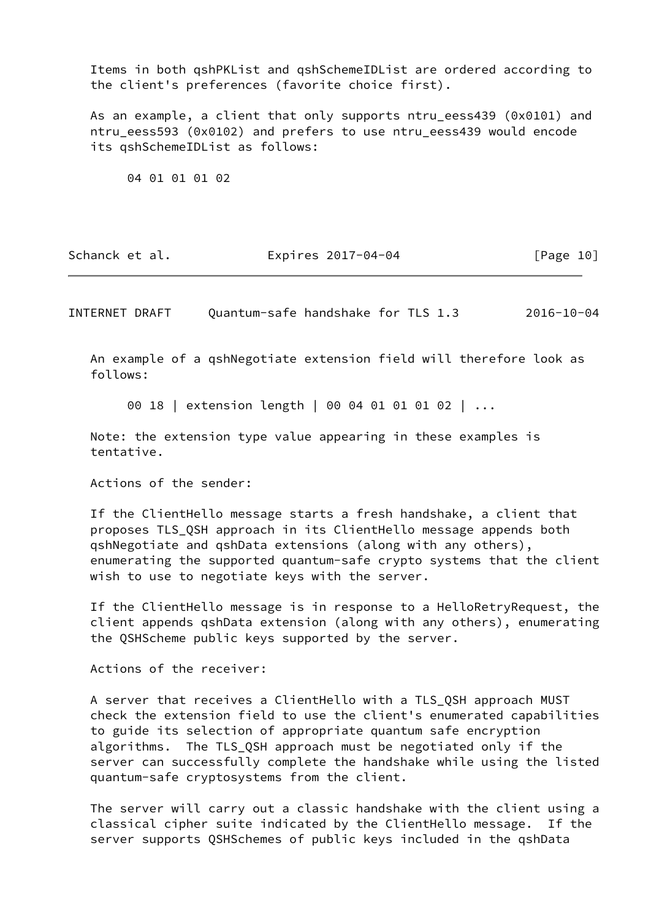Items in both qshPKList and qshSchemeIDList are ordered according to the client's preferences (favorite choice first).

 As an example, a client that only supports ntru\_eess439 (0x0101) and ntru eess593 (0x0102) and prefers to use ntru eess439 would encode its qshSchemeIDList as follows:

04 01 01 01 02

| Schanck et al. | Expires 2017-04-04 | [Page 10] |
|----------------|--------------------|-----------|
|----------------|--------------------|-----------|

<span id="page-11-0"></span>INTERNET DRAFT Quantum-safe handshake for TLS 1.3 2016-10-04

 An example of a qshNegotiate extension field will therefore look as follows:

00 18 | extension length | 00 04 01 01 01 02 | ...

 Note: the extension type value appearing in these examples is tentative.

Actions of the sender:

 If the ClientHello message starts a fresh handshake, a client that proposes TLS\_QSH approach in its ClientHello message appends both qshNegotiate and qshData extensions (along with any others), enumerating the supported quantum-safe crypto systems that the client wish to use to negotiate keys with the server.

 If the ClientHello message is in response to a HelloRetryRequest, the client appends qshData extension (along with any others), enumerating the QSHScheme public keys supported by the server.

Actions of the receiver:

 A server that receives a ClientHello with a TLS\_QSH approach MUST check the extension field to use the client's enumerated capabilities to guide its selection of appropriate quantum safe encryption algorithms. The TLS\_QSH approach must be negotiated only if the server can successfully complete the handshake while using the listed quantum-safe cryptosystems from the client.

 The server will carry out a classic handshake with the client using a classical cipher suite indicated by the ClientHello message. If the server supports QSHSchemes of public keys included in the qshData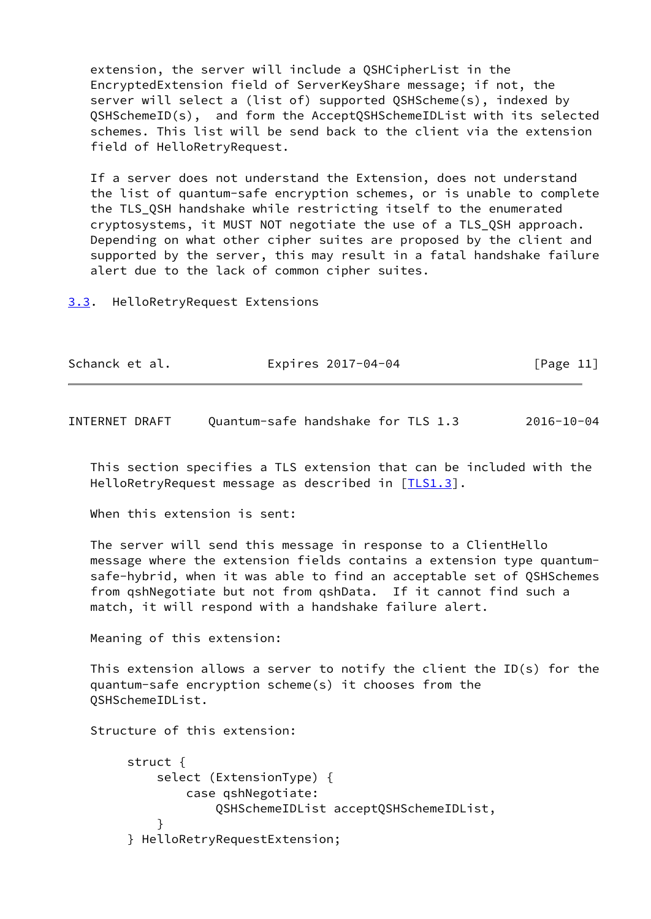extension, the server will include a QSHCipherList in the EncryptedExtension field of ServerKeyShare message; if not, the server will select a (list of) supported QSHScheme(s), indexed by QSHSchemeID(s), and form the AcceptQSHSchemeIDList with its selected schemes. This list will be send back to the client via the extension field of HelloRetryRequest.

 If a server does not understand the Extension, does not understand the list of quantum-safe encryption schemes, or is unable to complete the TLS\_QSH handshake while restricting itself to the enumerated cryptosystems, it MUST NOT negotiate the use of a TLS\_QSH approach. Depending on what other cipher suites are proposed by the client and supported by the server, this may result in a fatal handshake failure alert due to the lack of common cipher suites.

<span id="page-12-0"></span>[3.3](#page-12-0). HelloRetryRequest Extensions

| Schanck et al. | Expires 2017-04-04 | [Page 11] |
|----------------|--------------------|-----------|
|----------------|--------------------|-----------|

<span id="page-12-1"></span>INTERNET DRAFT Quantum-safe handshake for TLS 1.3 2016-10-04

 This section specifies a TLS extension that can be included with the HelloRetryRequest message as described in [[TLS1.3](#page-19-2)].

When this extension is sent:

 The server will send this message in response to a ClientHello message where the extension fields contains a extension type quantum safe-hybrid, when it was able to find an acceptable set of QSHSchemes from qshNegotiate but not from qshData. If it cannot find such a match, it will respond with a handshake failure alert.

Meaning of this extension:

 This extension allows a server to notify the client the ID(s) for the quantum-safe encryption scheme(s) it chooses from the QSHSchemeIDList.

Structure of this extension:

```
 struct {
           select (ExtensionType) {
               case qshNegotiate:
                   QSHSchemeIDList acceptQSHSchemeIDList,
}
       } HelloRetryRequestExtension;
```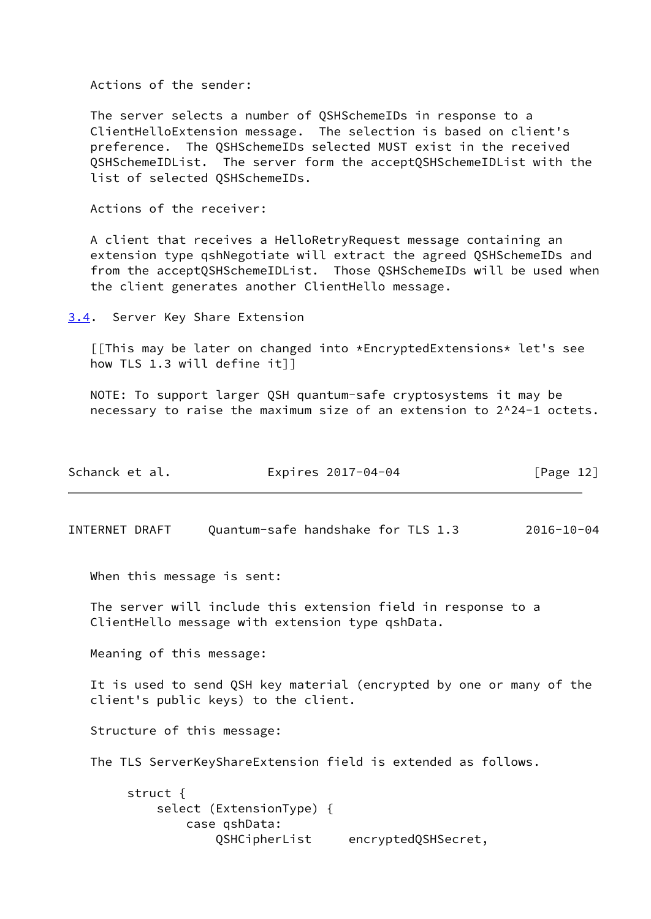Actions of the sender:

 The server selects a number of QSHSchemeIDs in response to a ClientHelloExtension message. The selection is based on client's preference. The QSHSchemeIDs selected MUST exist in the received QSHSchemeIDList. The server form the acceptQSHSchemeIDList with the list of selected OSHSchemeIDs.

Actions of the receiver:

 A client that receives a HelloRetryRequest message containing an extension type qshNegotiate will extract the agreed QSHSchemeIDs and from the acceptQSHSchemeIDList. Those QSHSchemeIDs will be used when the client generates another ClientHello message.

<span id="page-13-0"></span>[3.4](#page-13-0). Server Key Share Extension

 [[This may be later on changed into \*EncryptedExtensions\* let's see how TLS 1.3 will define it]]

 NOTE: To support larger QSH quantum-safe cryptosystems it may be necessary to raise the maximum size of an extension to 2^24-1 octets.

| Schanck et al. | Expires 2017-04-04 | [Page 12] |
|----------------|--------------------|-----------|
|----------------|--------------------|-----------|

INTERNET DRAFT Quantum-safe handshake for TLS 1.3 2016-10-04

When this message is sent:

 The server will include this extension field in response to a ClientHello message with extension type qshData.

Meaning of this message:

 It is used to send QSH key material (encrypted by one or many of the client's public keys) to the client.

Structure of this message:

The TLS ServerKeyShareExtension field is extended as follows.

 struct { select (ExtensionType) { case qshData: QSHCipherList encryptedQSHSecret,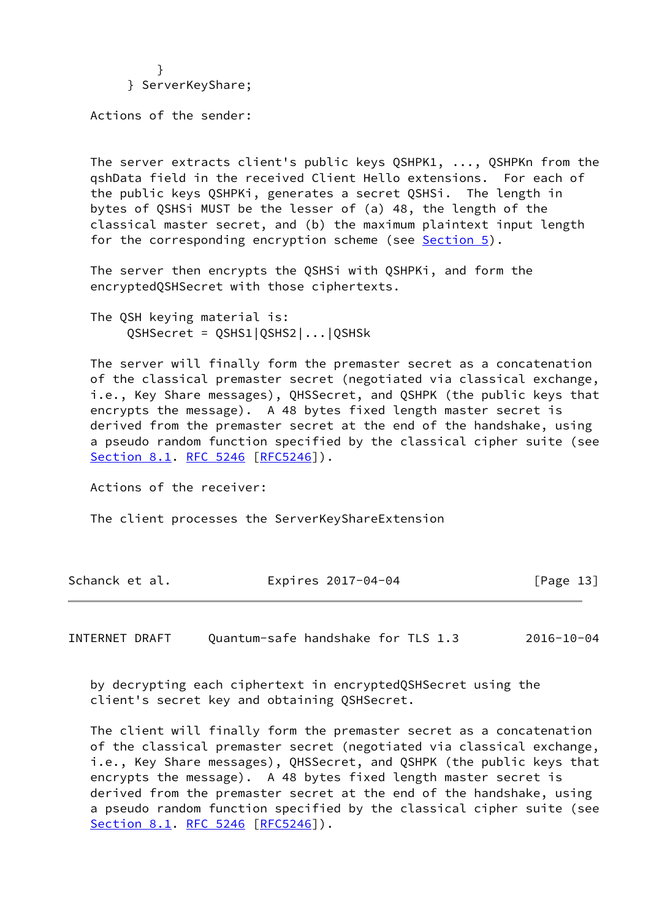} } ServerKeyShare;

Actions of the sender:

 The server extracts client's public keys QSHPK1, ..., QSHPKn from the qshData field in the received Client Hello extensions. For each of the public keys QSHPKi, generates a secret QSHSi. The length in bytes of QSHSi MUST be the lesser of (a) 48, the length of the classical master secret, and (b) the maximum plaintext input length for the corresponding encryption scheme (see [Section 5](#page-15-1)).

 The server then encrypts the QSHSi with QSHPKi, and form the encryptedQSHSecret with those ciphertexts.

 The QSH keying material is: QSHSecret = QSHS1|QSHS2|...|QSHSk

 The server will finally form the premaster secret as a concatenation of the classical premaster secret (negotiated via classical exchange, i.e., Key Share messages), QHSSecret, and QSHPK (the public keys that encrypts the message). A 48 bytes fixed length master secret is derived from the premaster secret at the end of the handshake, using a pseudo random function specified by the classical cipher suite (see Section 8.1. [RFC 5246](https://datatracker.ietf.org/doc/pdf/rfc5246) [[RFC5246](https://datatracker.ietf.org/doc/pdf/rfc5246)]).

Actions of the receiver:

The client processes the ServerKeyShareExtension

| Schanck et al. | Expires 2017-04-04 | [Page 13] |
|----------------|--------------------|-----------|
|----------------|--------------------|-----------|

<span id="page-14-0"></span>INTERNET DRAFT Quantum-safe handshake for TLS 1.3 2016-10-04

 by decrypting each ciphertext in encryptedQSHSecret using the client's secret key and obtaining QSHSecret.

 The client will finally form the premaster secret as a concatenation of the classical premaster secret (negotiated via classical exchange, i.e., Key Share messages), QHSSecret, and QSHPK (the public keys that encrypts the message). A 48 bytes fixed length master secret is derived from the premaster secret at the end of the handshake, using a pseudo random function specified by the classical cipher suite (see Section 8.1. [RFC 5246](https://datatracker.ietf.org/doc/pdf/rfc5246) [[RFC5246](https://datatracker.ietf.org/doc/pdf/rfc5246)]).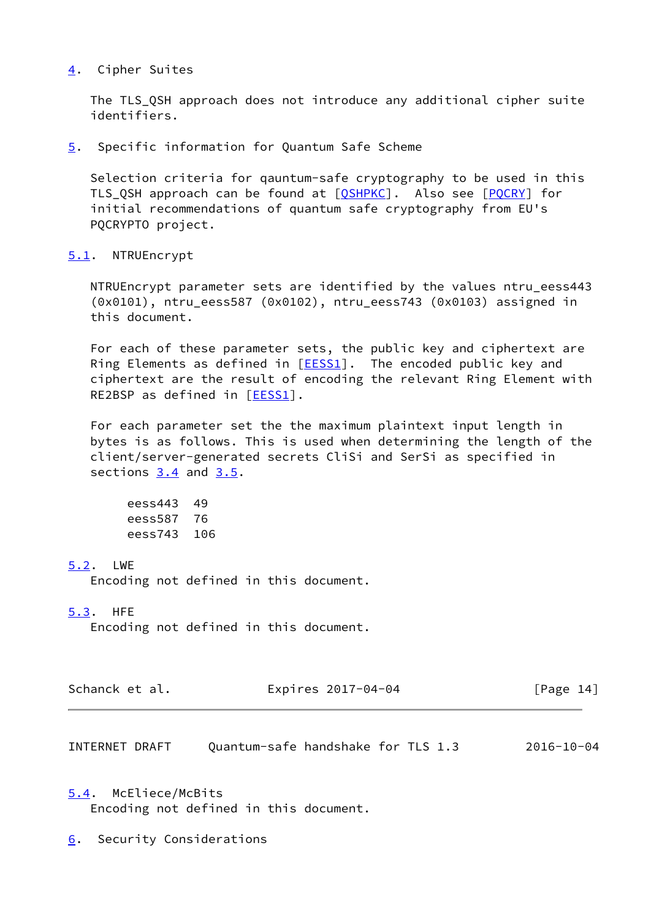### <span id="page-15-0"></span>[4](#page-15-0). Cipher Suites

The TLS QSH approach does not introduce any additional cipher suite identifiers.

<span id="page-15-1"></span>[5](#page-15-1). Specific information for Quantum Safe Scheme

 Selection criteria for qauntum-safe cryptography to be used in this TLS\_QSH approach can be found at [\[QSHPKC](#page-18-3)]. Also see [\[PQCRY\]](#page-18-4) for initial recommendations of quantum safe cryptography from EU's PQCRYPTO project.

## <span id="page-15-2"></span>[5.1](#page-15-2). NTRUEncrypt

 NTRUEncrypt parameter sets are identified by the values ntru\_eess443 (0x0101), ntru\_eess587 (0x0102), ntru\_eess743 (0x0103) assigned in this document.

 For each of these parameter sets, the public key and ciphertext are Ring Elements as defined in  $[EESS1]$  $[EESS1]$ . The encoded public key and ciphertext are the result of encoding the relevant Ring Element with RE2BSP as defined in [\[EESS1\]](#page-17-5).

 For each parameter set the the maximum plaintext input length in bytes is as follows. This is used when determining the length of the client/server-generated secrets CliSi and SerSi as specified in sections  $3.4$  and  $3.5$ .

 eess443 49 eess587 76 eess743 106

# <span id="page-15-3"></span>[5.2](#page-15-3). LWE

Encoding not defined in this document.

# <span id="page-15-4"></span>[5.3](#page-15-4). HFE

Encoding not defined in this document.

| Schanck et al. | Expires 2017-04-04 | [Page 14] |
|----------------|--------------------|-----------|
|----------------|--------------------|-----------|

<span id="page-15-6"></span>INTERNET DRAFT Quantum-safe handshake for TLS 1.3 2016-10-04

<span id="page-15-5"></span>[5.4](#page-15-5). McEliece/McBits Encoding not defined in this document.

<span id="page-15-7"></span>[6](#page-15-7). Security Considerations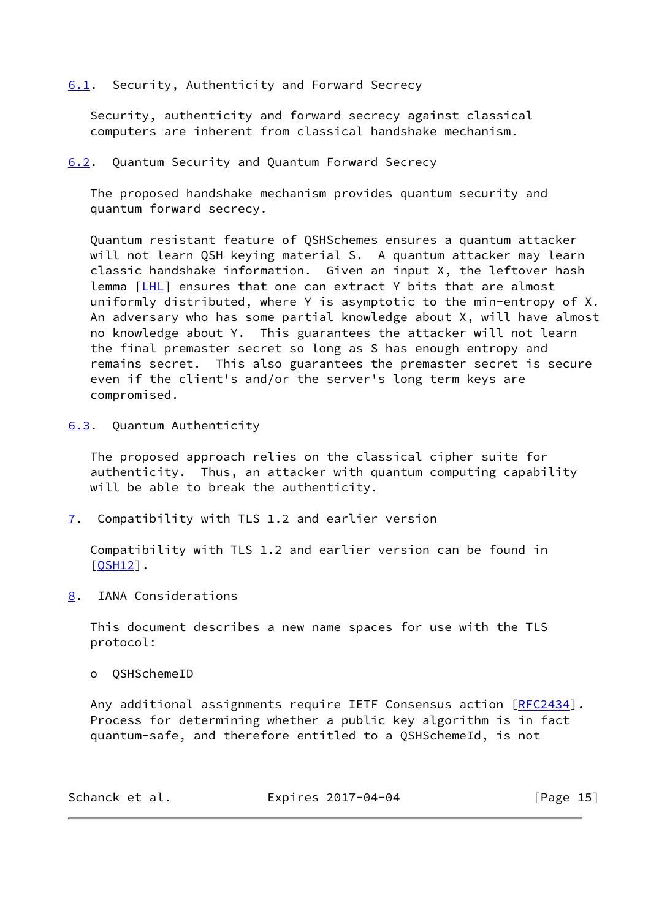<span id="page-16-0"></span>[6.1](#page-16-0). Security, Authenticity and Forward Secrecy

 Security, authenticity and forward secrecy against classical computers are inherent from classical handshake mechanism.

<span id="page-16-1"></span>[6.2](#page-16-1). Quantum Security and Quantum Forward Secrecy

 The proposed handshake mechanism provides quantum security and quantum forward secrecy.

 Quantum resistant feature of QSHSchemes ensures a quantum attacker will not learn QSH keying material S. A quantum attacker may learn classic handshake information. Given an input X, the leftover hash lemma [[LHL](#page-17-6)] ensures that one can extract Y bits that are almost uniformly distributed, where Y is asymptotic to the min-entropy of X. An adversary who has some partial knowledge about X, will have almost no knowledge about Y. This guarantees the attacker will not learn the final premaster secret so long as S has enough entropy and remains secret. This also guarantees the premaster secret is secure even if the client's and/or the server's long term keys are compromised.

<span id="page-16-2"></span>[6.3](#page-16-2). Quantum Authenticity

 The proposed approach relies on the classical cipher suite for authenticity. Thus, an attacker with quantum computing capability will be able to break the authenticity.

<span id="page-16-3"></span>[7](#page-16-3). Compatibility with TLS 1.2 and earlier version

 Compatibility with TLS 1.2 and earlier version can be found in  $[OSH12]$ .

<span id="page-16-4"></span>[8](#page-16-4). IANA Considerations

 This document describes a new name spaces for use with the TLS protocol:

o QSHSchemeID

Any additional assignments require IETF Consensus action [\[RFC2434](https://datatracker.ietf.org/doc/pdf/rfc2434)]. Process for determining whether a public key algorithm is in fact quantum-safe, and therefore entitled to a QSHSchemeId, is not

| Schanck et al. | Expires 2017-04-04 | [Page 15] |
|----------------|--------------------|-----------|
|----------------|--------------------|-----------|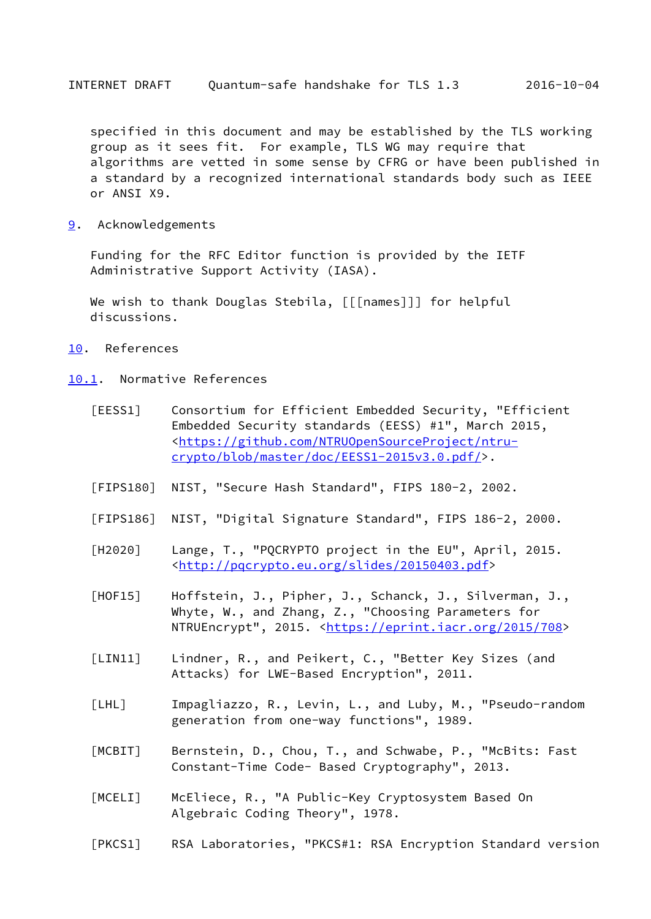<span id="page-17-1"></span> specified in this document and may be established by the TLS working group as it sees fit. For example, TLS WG may require that algorithms are vetted in some sense by CFRG or have been published in a standard by a recognized international standards body such as IEEE or ANSI X9.

<span id="page-17-0"></span>[9](#page-17-0). Acknowledgements

 Funding for the RFC Editor function is provided by the IETF Administrative Support Activity (IASA).

We wish to thank Douglas Stebila, [[[names]]] for helpful discussions.

- <span id="page-17-2"></span>[10.](#page-17-2) References
- <span id="page-17-6"></span><span id="page-17-5"></span><span id="page-17-4"></span><span id="page-17-3"></span>[10.1](#page-17-3). Normative References
	- [EESS1] Consortium for Efficient Embedded Security, "Efficient Embedded Security standards (EESS) #1", March 2015, <[https://github.com/NTRUOpenSourceProject/ntru](https://github.com/NTRUOpenSourceProject/ntru-crypto/blob/master/doc/EESS1-2015v3.0.pdf/) [crypto/blob/master/doc/EESS1-2015v3.0.pdf/>](https://github.com/NTRUOpenSourceProject/ntru-crypto/blob/master/doc/EESS1-2015v3.0.pdf/).
	- [FIPS180] NIST, "Secure Hash Standard", FIPS 180-2, 2002.
	- [FIPS186] NIST, "Digital Signature Standard", FIPS 186-2, 2000.
	- [H2020] Lange, T., "PQCRYPTO project in the EU", April, 2015. <[http://pqcrypto.eu.org/slides/20150403.pdf>](http://pqcrypto.eu.org/slides/20150403.pdf)
	- [HOF15] Hoffstein, J., Pipher, J., Schanck, J., Silverman, J., Whyte, W., and Zhang, Z., "Choosing Parameters for NTRUEncrypt", 2015. [<https://eprint.iacr.org/2015/708](https://eprint.iacr.org/2015/708)>
	- [LIN11] Lindner, R., and Peikert, C., "Better Key Sizes (and Attacks) for LWE-Based Encryption", 2011.
	- [LHL] Impagliazzo, R., Levin, L., and Luby, M., "Pseudo-random generation from one-way functions", 1989.
	- [MCBIT] Bernstein, D., Chou, T., and Schwabe, P., "McBits: Fast Constant-Time Code- Based Cryptography", 2013.
	- [MCELI] McEliece, R., "A Public-Key Cryptosystem Based On Algebraic Coding Theory", 1978.
	- [PKCS1] RSA Laboratories, "PKCS#1: RSA Encryption Standard version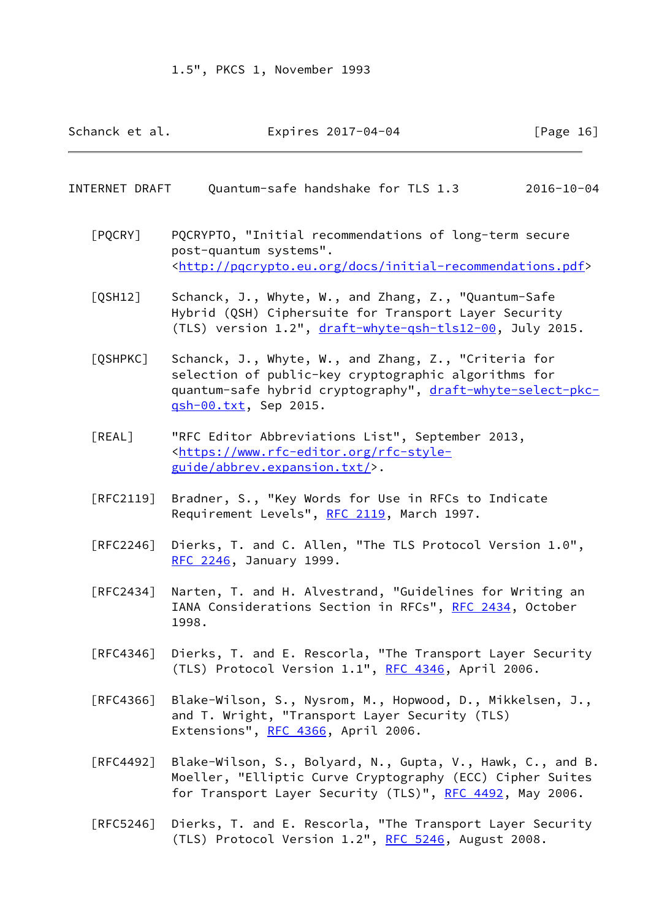| Schanck et al.<br>Expires 2017-04-04 | [Page 16] |
|--------------------------------------|-----------|
|--------------------------------------|-----------|

#### <span id="page-18-0"></span>INTERNET DRAFT Quantum-safe handshake for TLS 1.3 2016-10-04

- <span id="page-18-4"></span> [PQCRY] PQCRYPTO, "Initial recommendations of long-term secure post-quantum systems". <[http://pqcrypto.eu.org/docs/initial-recommendations.pdf>](http://pqcrypto.eu.org/docs/initial-recommendations.pdf)
- <span id="page-18-1"></span> [QSH12] Schanck, J., Whyte, W., and Zhang, Z., "Quantum-Safe Hybrid (QSH) Ciphersuite for Transport Layer Security (TLS) version 1.2", [draft-whyte-qsh-tls12-00,](https://datatracker.ietf.org/doc/pdf/draft-whyte-qsh-tls12-00) July 2015.
- <span id="page-18-3"></span> [QSHPKC] Schanck, J., Whyte, W., and Zhang, Z., "Criteria for selection of public-key cryptographic algorithms for quantum-safe hybrid cryptography", [draft-whyte-select-pkc](https://datatracker.ietf.org/doc/pdf/draft-whyte-select-pkc-qsh-00.txt) [qsh-00.txt,](https://datatracker.ietf.org/doc/pdf/draft-whyte-select-pkc-qsh-00.txt) Sep 2015.
- <span id="page-18-2"></span> [REAL] "RFC Editor Abbreviations List", September 2013, <[https://www.rfc-editor.org/rfc-style](https://www.rfc-editor.org/rfc-style-guide/abbrev.expansion.txt/) [guide/abbrev.expansion.txt/](https://www.rfc-editor.org/rfc-style-guide/abbrev.expansion.txt/)>.
- [RFC2119] Bradner, S., "Key Words for Use in RFCs to Indicate Requirement Levels", [RFC 2119](https://datatracker.ietf.org/doc/pdf/rfc2119), March 1997.
- [RFC2246] Dierks, T. and C. Allen, "The TLS Protocol Version 1.0", [RFC 2246,](https://datatracker.ietf.org/doc/pdf/rfc2246) January 1999.
- [RFC2434] Narten, T. and H. Alvestrand, "Guidelines for Writing an IANA Considerations Section in RFCs", [RFC 2434](https://datatracker.ietf.org/doc/pdf/rfc2434), October 1998.
- [RFC4346] Dierks, T. and E. Rescorla, "The Transport Layer Security (TLS) Protocol Version 1.1", [RFC 4346](https://datatracker.ietf.org/doc/pdf/rfc4346), April 2006.
- [RFC4366] Blake-Wilson, S., Nysrom, M., Hopwood, D., Mikkelsen, J., and T. Wright, "Transport Layer Security (TLS) Extensions", [RFC 4366](https://datatracker.ietf.org/doc/pdf/rfc4366), April 2006.
- [RFC4492] Blake-Wilson, S., Bolyard, N., Gupta, V., Hawk, C., and B. Moeller, "Elliptic Curve Cryptography (ECC) Cipher Suites for Transport Layer Security (TLS)", [RFC 4492](https://datatracker.ietf.org/doc/pdf/rfc4492), May 2006.
- [RFC5246] Dierks, T. and E. Rescorla, "The Transport Layer Security (TLS) Protocol Version 1.2", [RFC 5246](https://datatracker.ietf.org/doc/pdf/rfc5246), August 2008.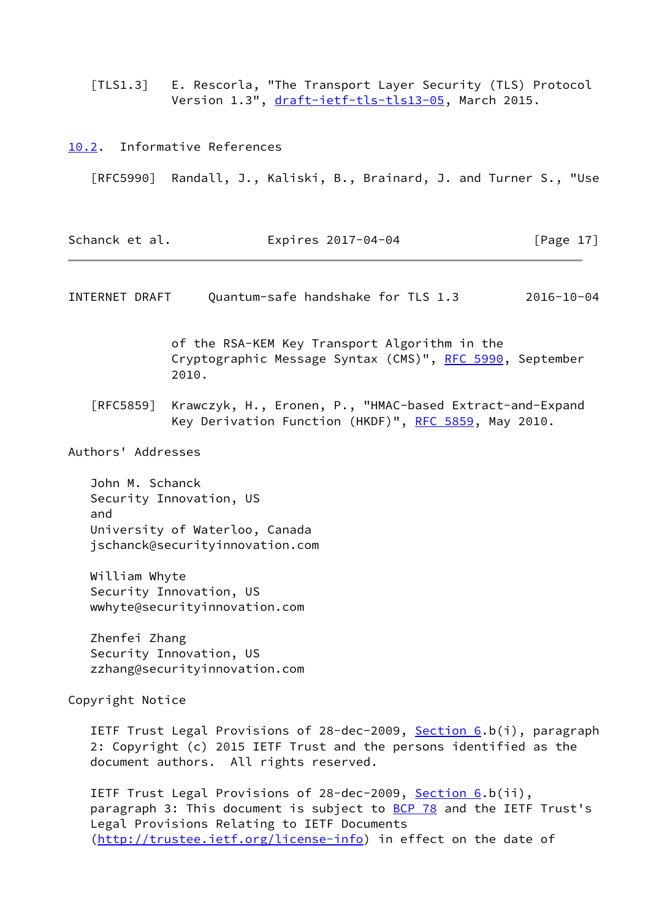<span id="page-19-2"></span> [TLS1.3] E. Rescorla, "The Transport Layer Security (TLS) Protocol Version 1.3", [draft-ietf-tls-tls13-05](https://datatracker.ietf.org/doc/pdf/draft-ietf-tls-tls13-05), March 2015.

<span id="page-19-1"></span><span id="page-19-0"></span>[10.2](#page-19-0). Informative References [RFC5990] Randall, J., Kaliski, B., Brainard, J. and Turner S., "Use Schanck et al. **Expires 2017-04-04** [Page 17] INTERNET DRAFT Quantum-safe handshake for TLS 1.3 2016-10-04 of the RSA-KEM Key Transport Algorithm in the Cryptographic Message Syntax (CMS)", [RFC 5990](https://datatracker.ietf.org/doc/pdf/rfc5990), September 2010. [RFC5859] Krawczyk, H., Eronen, P., "HMAC-based Extract-and-Expand Key Derivation Function (HKDF)", [RFC 5859,](https://datatracker.ietf.org/doc/pdf/rfc5859) May 2010. Authors' Addresses John M. Schanck Security Innovation, US and University of Waterloo, Canada jschanck@securityinnovation.com William Whyte Security Innovation, US wwhyte@securityinnovation.com Zhenfei Zhang Security Innovation, US zzhang@securityinnovation.com Copyright Notice IETF Trust Legal Provisions of 28-dec-2009, [Section 6.](#page-15-7)b(i), paragraph 2: Copyright (c) 2015 IETF Trust and the persons identified as the document authors. All rights reserved. IETF Trust Legal Provisions of 28-dec-2009, [Section 6.](#page-15-7)b(ii), paragraph 3: This document is subject to **BCP 78** and the IETF Trust's Legal Provisions Relating to IETF Documents [\(http://trustee.ietf.org/license-info](http://trustee.ietf.org/license-info)) in effect on the date of